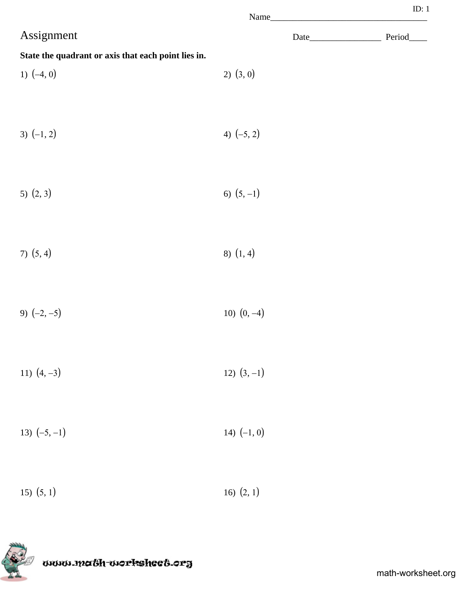|                                                     |               | ID: $1$    |
|-----------------------------------------------------|---------------|------------|
| Assignment                                          |               | Period____ |
| State the quadrant or axis that each point lies in. |               |            |
| 1) $(-4, 0)$                                        | $2)$ $(3, 0)$ |            |
| 3) $(-1, 2)$                                        | 4) $(-5, 2)$  |            |
| 5) $(2, 3)$                                         | 6) $(5, -1)$  |            |
| 7) $(5, 4)$                                         | 8) $(1, 4)$   |            |
| 9) $(-2, -5)$                                       | 10) $(0, -4)$ |            |
| 11) $(4, -3)$                                       | 12) $(3, -1)$ |            |
| 13) $(-5, -1)$                                      | 14) $(-1, 0)$ |            |
| $15)$ $(5, 1)$                                      | 16) $(2, 1)$  |            |

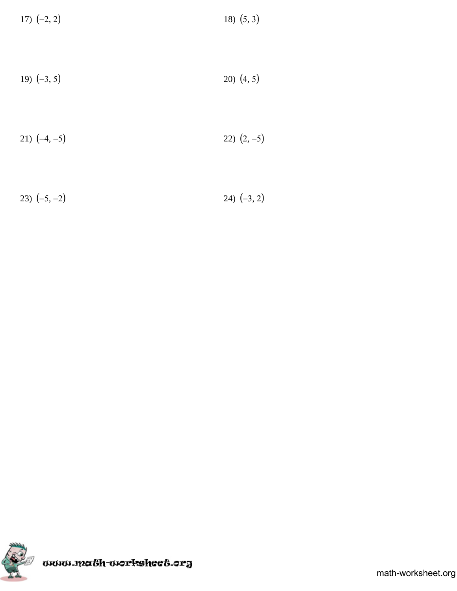| 17) $(-2, 2)$ | 18) $(5, 3)$ |
|---------------|--------------|
|---------------|--------------|

$$
19) (-3, 5) \t\t\t\t\t20) (4, 5)
$$

$$
21) (-4, -5) \t\t\t\t22) (2, -5)
$$

23)  $(-5, -2)$  24)  $(-3, 2)$ 

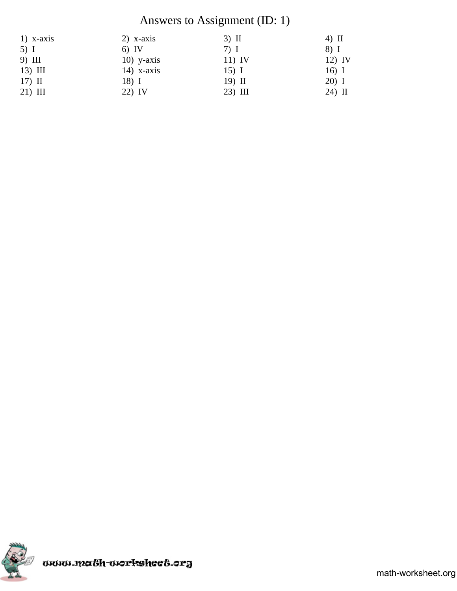## Answers to Assignment (ID: 1)

| $1)$ x-axis | $2)$ x-axis  | $3)$ II   | $4)$ II  |
|-------------|--------------|-----------|----------|
| $5)$ I      | $6)$ IV      | $7)$ I    | 8) I     |
| 9) III      | $10)$ y-axis | $11)$ IV  | $12)$ IV |
| $13)$ III   | $14)$ x-axis | $15)$ I   | $16)$ I  |
| $17)$ II    | 18) I        | 19) II    | $20)$ I  |
| $21)$ III   | 22) IV       | $23)$ III | $24)$ II |

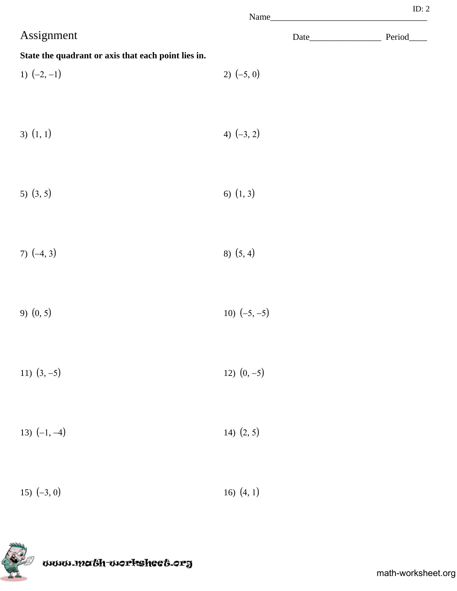|                                                     | Name_          |  |
|-----------------------------------------------------|----------------|--|
| Assignment                                          |                |  |
| State the quadrant or axis that each point lies in. |                |  |
| 1) $(-2, -1)$                                       | 2) $(-5, 0)$   |  |
|                                                     |                |  |
| $3)$ $(1, 1)$                                       | 4) $(-3, 2)$   |  |
|                                                     |                |  |
|                                                     |                |  |
| 5) $(3, 5)$                                         | 6) $(1, 3)$    |  |
|                                                     |                |  |
| 7) $(-4, 3)$                                        | 8) (5, 4)      |  |
|                                                     |                |  |
| 9) $(0, 5)$                                         | 10) $(-5, -5)$ |  |
|                                                     |                |  |
|                                                     |                |  |
| 11) $(3, -5)$                                       | 12) $(0, -5)$  |  |
|                                                     |                |  |
| 13) $(-1, -4)$                                      | 14) $(2, 5)$   |  |
|                                                     |                |  |
| 15) $(-3, 0)$                                       | 16) $(4, 1)$   |  |
|                                                     |                |  |



ID: 2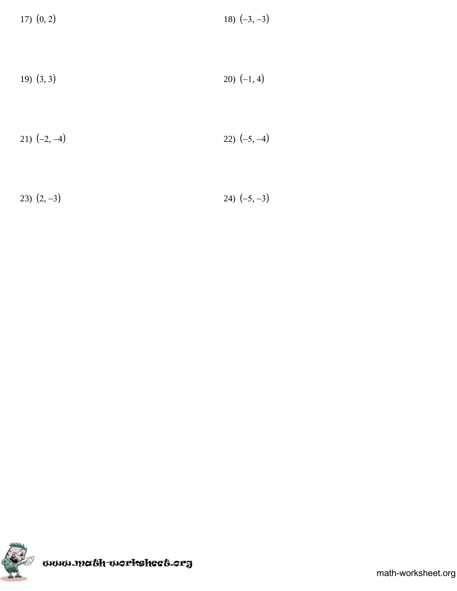| $17)$ $(0, 2)$ | 18) $(-3, -3)$ |
|----------------|----------------|
|----------------|----------------|

$$
(3, 3) \t\t\t\t\t\t\t20) (-1, 4)
$$

$$
21) (-2,-4) \t\t\t\t\t22) (-5,-4)
$$

23)  $(2, -3)$  24)  $(-5, -3)$ 

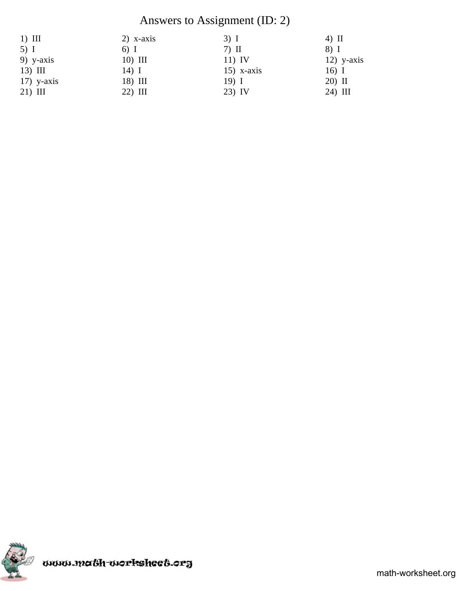## Answers to Assignment (ID: 2)

| $1)$ III     | $2)$ x-axis | $3)$ I       | $4)$ II      |
|--------------|-------------|--------------|--------------|
| $5)$ I       | $6)$ I      | $7)$ II      | 8) I         |
| $9)$ y-axis  | $10)$ III   | $11)$ IV     | $12)$ y-axis |
| $13)$ III    | $14)$ I     | $15)$ x-axis | $16)$ I      |
| $17)$ y-axis | 18) III     | $19)$ I      | 20) II       |
| $21)$ III    | $22)$ III   | $23)$ IV     | 24) III      |

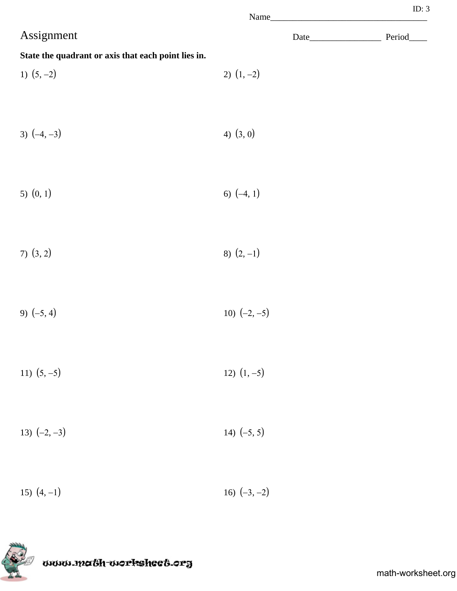|                                                     |                | Name | ID: $3$ |
|-----------------------------------------------------|----------------|------|---------|
| Assignment                                          |                |      |         |
| State the quadrant or axis that each point lies in. |                |      |         |
| 1) $(5, -2)$                                        | 2) $(1, -2)$   |      |         |
| 3) $(-4, -3)$                                       | 4) $(3, 0)$    |      |         |
| 5) $(0, 1)$                                         | 6) $(-4, 1)$   |      |         |
| $7)$ $(3, 2)$                                       | 8) $(2, -1)$   |      |         |
| 9) $(-5, 4)$                                        | 10) $(-2, -5)$ |      |         |
| 11) $(5, -5)$                                       | 12) $(1, -5)$  |      |         |
| 13) $(-2, -3)$                                      | 14) $(-5, 5)$  |      |         |
| 15) $(4, -1)$                                       | 16) $(-3, -2)$ |      |         |

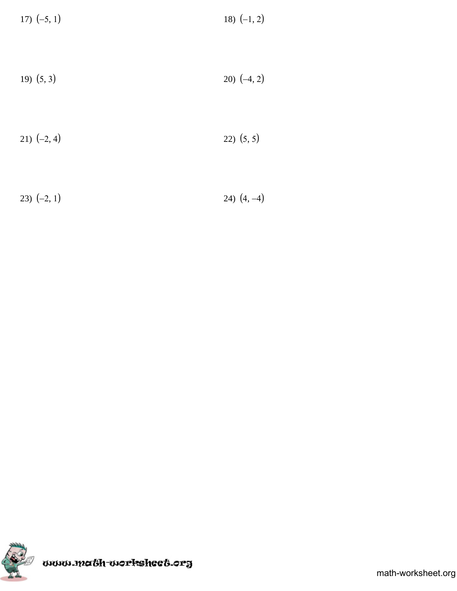| 17) $(-5, 1)$ | 18) $(-1, 2)$ |
|---------------|---------------|
|---------------|---------------|

$$
(5,3) \t\t\t\t\t\t20) (-4,2)
$$

$$
(21) (-2, 4) \t\t\t\t\t\t22) (5, 5)
$$

23)  $(-2, 1)$  24)  $(4, -4)$ 

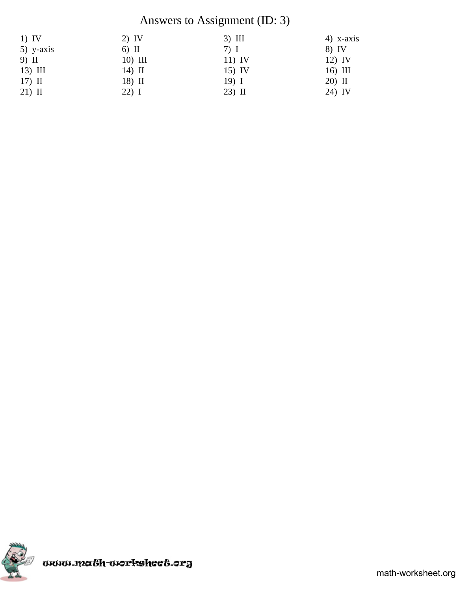## Answers to Assignment (ID: 3)

| $1)$ IV     | $2)$ IV   | $3)$ III | $4)$ x-axis |
|-------------|-----------|----------|-------------|
| $5)$ y-axis | $6)$ II   | $7)$ I   | 8) IV       |
| 9) II       | $10)$ III | $11)$ IV | $12)$ IV    |
| $13)$ III   | $14)$ II  | $15)$ IV | $16)$ III   |
| $17)$ II    | 18) II    | $19)$ I  | 20) II      |
| $21)$ II    | 22) I     | $23)$ II | 24) IV      |

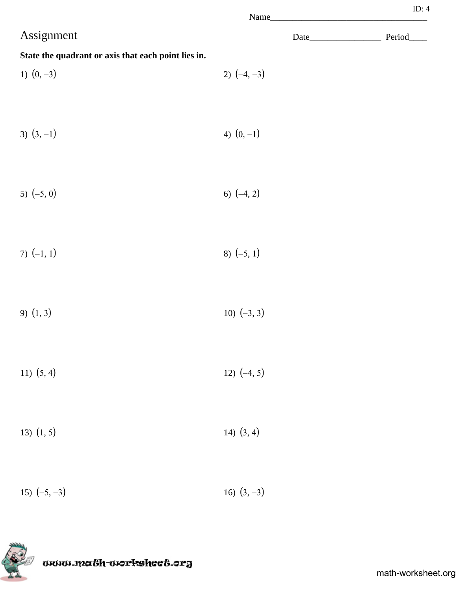|                                                     | Name_         | w.,     |
|-----------------------------------------------------|---------------|---------|
| Assignment                                          | Date          | Period_ |
| State the quadrant or axis that each point lies in. |               |         |
| 1) $(0, -3)$                                        | 2) $(-4, -3)$ |         |
|                                                     |               |         |
| 3) $(3, -1)$                                        | 4) $(0, -1)$  |         |
|                                                     |               |         |
| 5) $(-5, 0)$                                        | 6) $(-4, 2)$  |         |
|                                                     |               |         |
| 7) $(-1, 1)$                                        | 8) $(-5, 1)$  |         |
|                                                     |               |         |
| 9) $(1, 3)$                                         | 10) $(-3, 3)$ |         |
|                                                     |               |         |
| 11) $(5, 4)$                                        | 12) $(-4, 5)$ |         |
|                                                     |               |         |
| 13) $(1, 5)$                                        | 14) $(3, 4)$  |         |
|                                                     |               |         |
| 15) $(-5, -3)$                                      | 16) $(3, -3)$ |         |



www.math-worksheet.org

ID: 4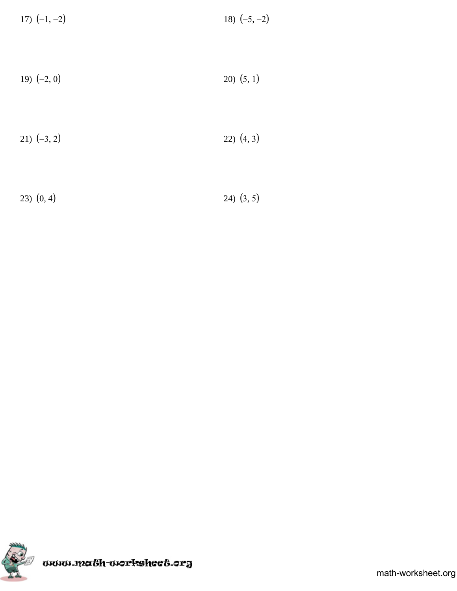| 17) $(-1, -2)$ | 18) $(-5, -2)$  |
|----------------|-----------------|
|                |                 |
| 19) $(-2, 0)$  | $(20)$ $(5, 1)$ |

| 21) $(-3, 2)$ | (4, 3) |
|---------------|--------|
|---------------|--------|

23)  $(0, 4)$  24)  $(3, 5)$ 

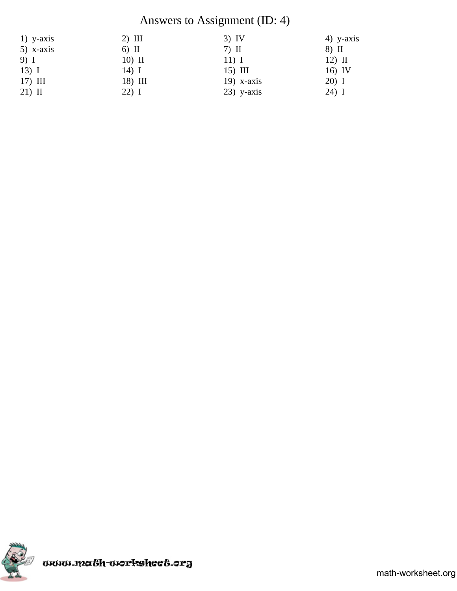## Answers to Assignment (ID: 4)

| $1)$ y-axis | $2)$ III | $3)$ IV      | $4)$ y-axis |
|-------------|----------|--------------|-------------|
| $5)$ x-axis | $6)$ II  | $7)$ II      | 8) II       |
| 9) I        | $10)$ II | $11)$ I      | $12)$ II    |
| $13)$ I     | 14) I    | $15)$ III    | 16) IV      |
| $17)$ III   | 18) III  | $19)$ x-axis | 20) I       |
| $21)$ II    | $22)$ I  | $23)$ y-axis | $24)$ I     |

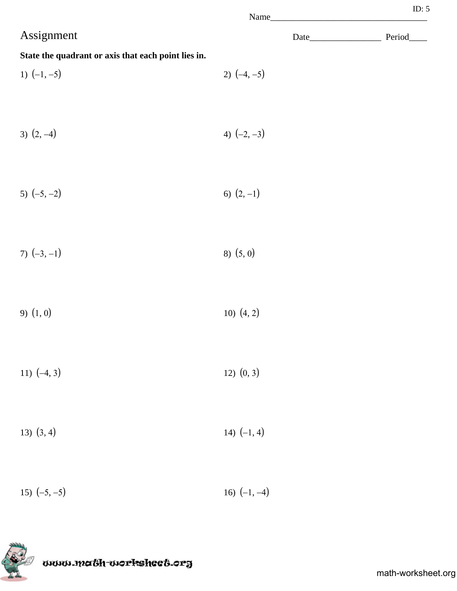|                                                     | Name_          |  |
|-----------------------------------------------------|----------------|--|
| Assignment                                          |                |  |
| State the quadrant or axis that each point lies in. |                |  |
| 1) $(-1, -5)$                                       | 2) $(-4, -5)$  |  |
|                                                     |                |  |
| 3) $(2, -4)$                                        | 4) $(-2, -3)$  |  |
|                                                     |                |  |
| 5) $(-5, -2)$                                       | 6) $(2, -1)$   |  |
|                                                     |                |  |
| 7) $(-3, -1)$                                       | 8) (5,0)       |  |
|                                                     |                |  |
| $9)$ $(1, 0)$                                       | 10) $(4, 2)$   |  |
|                                                     |                |  |
| 11) $(-4, 3)$                                       | 12) (0, 3)     |  |
|                                                     |                |  |
| 13) $(3, 4)$                                        | 14) $(-1, 4)$  |  |
|                                                     |                |  |
| 15) $(-5, -5)$                                      | 16) $(-1, -4)$ |  |



www.ma&h-workshee&.org

ID: 5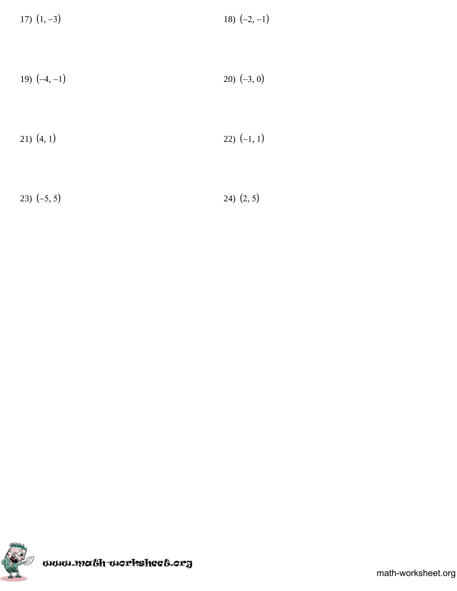| 17) $(1, -3)$ | 18) $(-2, -1)$ |
|---------------|----------------|
|---------------|----------------|

$$
19) (-4, -1) \t\t\t\t20) (-3, 0)
$$

$$
(4, 1) \qquad \qquad 22) (-1, 1)
$$

23)  $(-5, 5)$  24)  $(2, 5)$ 

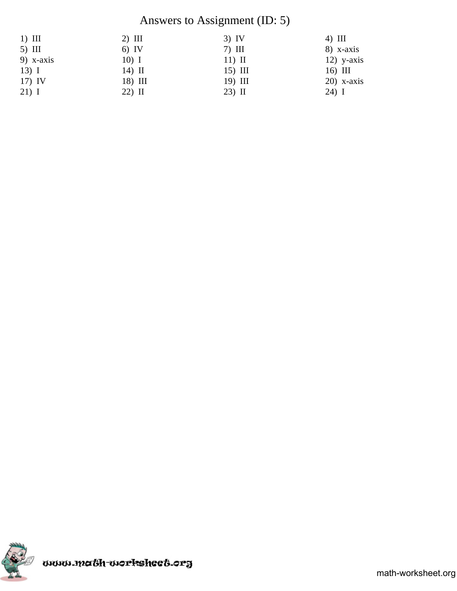## Answers to Assignment (ID: 5)

| $1)$ III    | $2)$ III | $3)$ IV   | $4)$ III     |
|-------------|----------|-----------|--------------|
| $5)$ III    | $6)$ IV  | $7)$ III  | $8)$ x-axis  |
| 9) $x-axis$ | $10)$ I  | $11)$ II  | $12)$ y-axis |
| $13)$ I     | $14)$ II | $15)$ III | $16)$ III    |
| $17)$ IV    | 18) III  | 19) III   | $20)$ x-axis |
| $21)$ I     | 22) II   | 23) II    | 24) I        |

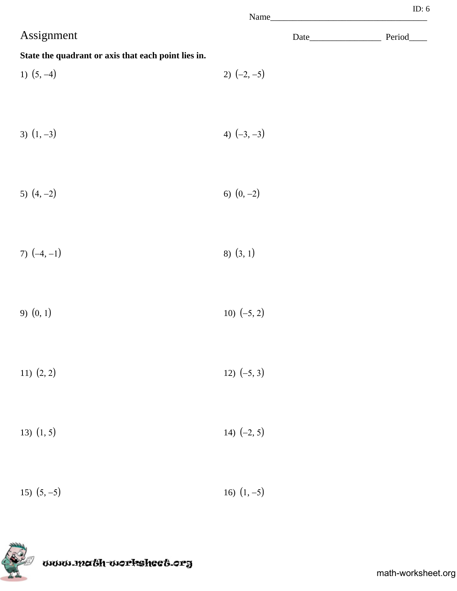|                                                     | Name_         |  |
|-----------------------------------------------------|---------------|--|
| Assignment                                          |               |  |
| State the quadrant or axis that each point lies in. |               |  |
| 1) $(5, -4)$                                        | 2) $(-2, -5)$ |  |
|                                                     |               |  |
| 3) $(1, -3)$                                        | 4) $(-3, -3)$ |  |
|                                                     |               |  |
|                                                     |               |  |
| 5) $(4, -2)$                                        | 6) $(0, -2)$  |  |
|                                                     |               |  |
| 7) $(-4, -1)$                                       | $8)$ $(3, 1)$ |  |
|                                                     |               |  |
| 9) $(0, 1)$                                         | 10) $(-5, 2)$ |  |
|                                                     |               |  |
| 11) $(2, 2)$                                        | 12) $(-5, 3)$ |  |
|                                                     |               |  |
| 13) $(1, 5)$                                        | 14) $(-2, 5)$ |  |
|                                                     |               |  |
|                                                     |               |  |
| 15) $(5, -5)$                                       | 16) $(1, -5)$ |  |



ID: 6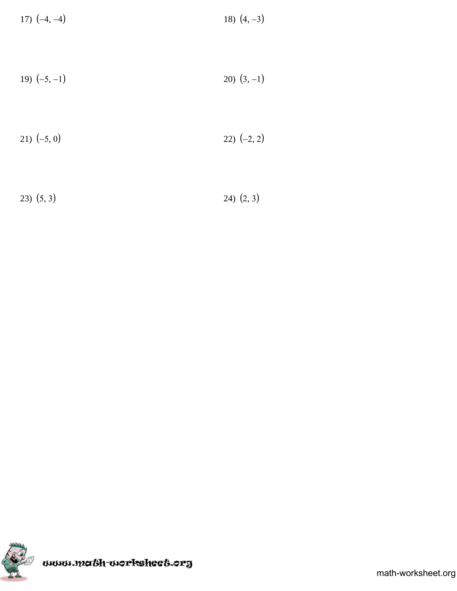| 17) $(-4, -4)$ | 18) $(4, -3)$ |
|----------------|---------------|
|----------------|---------------|

$$
19) (-5, -1) \t\t\t\t20) (3, -1)
$$

$$
21) (-5, 0) \t\t\t\t\t22) (-2, 2)
$$

23)  $(5, 3)$  24)  $(2, 3)$ 

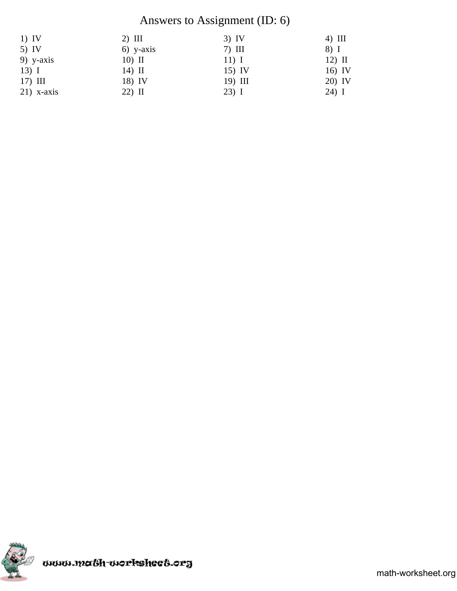## Answers to Assignment (ID: 6)

| $1)$ IV      | $2)$ III    | $3)$ IV   | $4)$ III |
|--------------|-------------|-----------|----------|
| $5)$ IV      | $6)$ y-axis | $7)$ III  | 8) I     |
| $9)$ y-axis  | $10)$ II    | $11)$ I   | $12)$ II |
| $13)$ I      | 14) II      | $15)$ IV  | 16) IV   |
| $17)$ III    | 18) IV      | $19)$ III | 20) IV   |
| $21)$ x-axis | $22)$ II    | $23)$ I   | $24)$ I  |

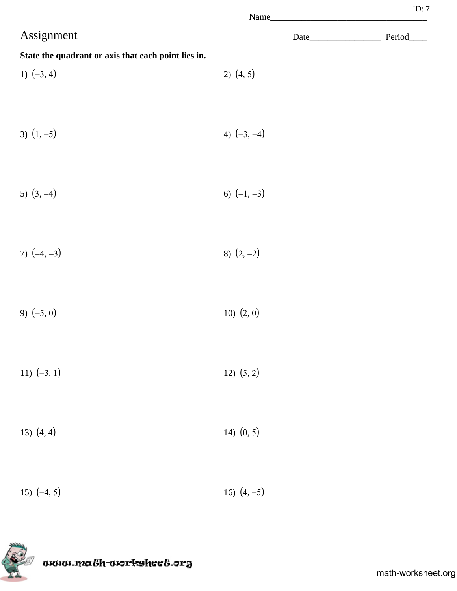|                                                     |                | Name | ID: $7$    |
|-----------------------------------------------------|----------------|------|------------|
| Assignment                                          |                |      | Period____ |
| State the quadrant or axis that each point lies in. |                |      |            |
| 1) $(-3, 4)$                                        | $2)$ $(4, 5)$  |      |            |
|                                                     |                |      |            |
| 3) $(1, -5)$                                        | 4) $(-3, -4)$  |      |            |
|                                                     |                |      |            |
| 5) $(3, -4)$                                        | 6) $(-1, -3)$  |      |            |
|                                                     |                |      |            |
| 7) $(-4, -3)$                                       | 8) $(2, -2)$   |      |            |
|                                                     |                |      |            |
| 9) $(-5, 0)$                                        | $10)$ $(2, 0)$ |      |            |
|                                                     |                |      |            |
|                                                     |                |      |            |
| 11) $(-3, 1)$                                       | 12) (5, 2)     |      |            |
|                                                     |                |      |            |
| 13) $(4, 4)$                                        | 14) $(0, 5)$   |      |            |
|                                                     |                |      |            |
| 15) $(-4, 5)$                                       | 16) $(4, -5)$  |      |            |

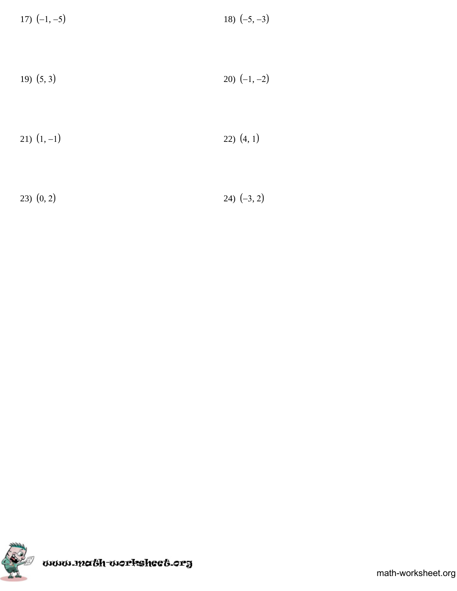| 17) $(-1, -5)$ | 18) $(-5, -3)$ |
|----------------|----------------|
|----------------|----------------|

$$
(5,3) \t\t\t\t\t\t20) (-1,-2)
$$

$$
(1,-1) \t(22) (4,1)
$$

$$
23) (0,2) \t\t\t\t24) (-3,2)
$$

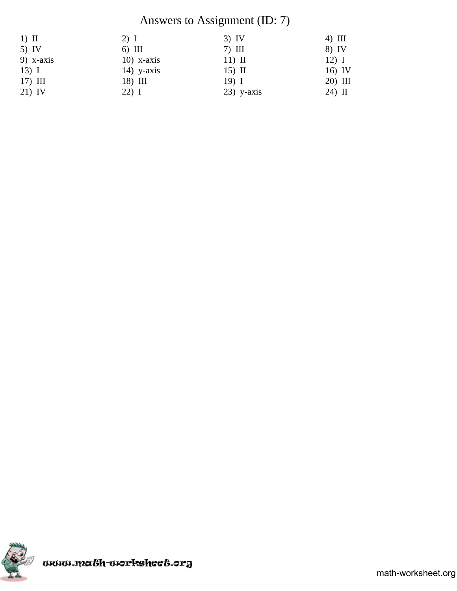## Answers to Assignment (ID: 7)

| $1)$ II     | $2)$ I       | $3)$ IV      | $4)$ III |
|-------------|--------------|--------------|----------|
| $5)$ IV     | $6)$ III     | $7)$ III     | 8) IV    |
| $9)$ x-axis | $10)$ x-axis | $11)$ II     | $12)$ I  |
| $13)$ I     | $14)$ y-axis | $15)$ II     | $16)$ IV |
| $17)$ III   | 18) III      | $19)$ I      | 20) III  |
| 21) IV      | $22)$ I      | $23)$ y-axis | $24)$ II |

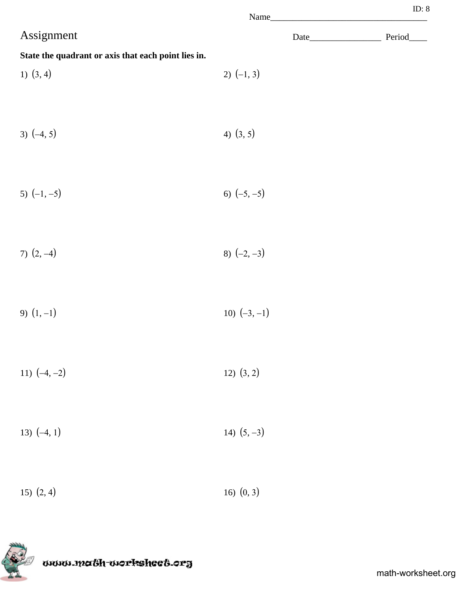|                                                     | Name_          |             |
|-----------------------------------------------------|----------------|-------------|
| Assignment                                          |                | Period_____ |
| State the quadrant or axis that each point lies in. |                |             |
| 1) $(3, 4)$                                         | 2) $(-1, 3)$   |             |
| 3) $(-4, 5)$                                        | 4) $(3, 5)$    |             |
| 5) $(-1, -5)$                                       | 6) $(-5, -5)$  |             |
| 7) $(2, -4)$                                        | 8) $(-2, -3)$  |             |
| 9) $(1, -1)$                                        | 10) $(-3, -1)$ |             |
| 11) $(-4, -2)$                                      | $12)$ $(3, 2)$ |             |
| 13) $(-4, 1)$                                       | 14) $(5, -3)$  |             |
| 15) $(2, 4)$                                        | 16) $(0, 3)$   |             |

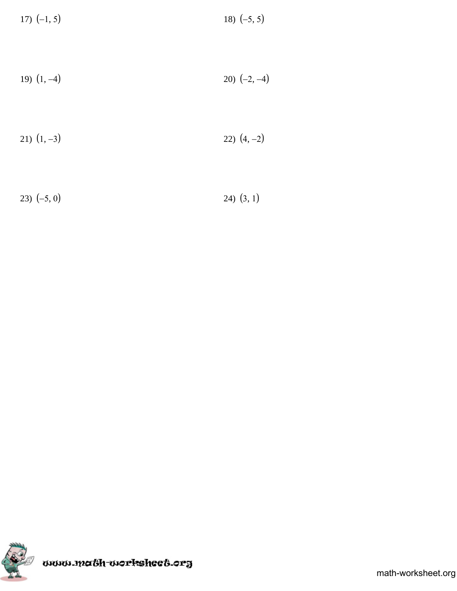| 17) $(-1, 5)$ | 18) $(-5, 5)$ |
|---------------|---------------|
|---------------|---------------|

$$
(1, -4) \qquad \qquad 20) (-2, -4)
$$

$$
(1, -3) \qquad \qquad 22) \ (4, -2)
$$

23)  $(-5, 0)$  24)  $(3, 1)$ 

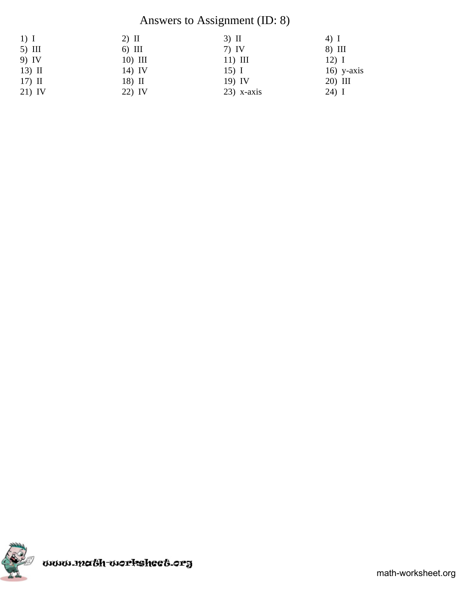## Answers to Assignment (ID: 8)

| $1)$ I   | $2)$ II  | $3)$ II      | 4) I         |
|----------|----------|--------------|--------------|
| $5)$ III | $6)$ III | $7)$ IV      | 8) III       |
| 9) IV    | 10) III  | $11)$ III    | $12)$ I      |
| $13)$ II | 14) IV   | $15)$ I      | $16)$ y-axis |
| $17)$ II | $18)$ II | $19)$ IV     | 20) III      |
| 21) IV   | 22) IV   | $23)$ x-axis | $24)$ I      |

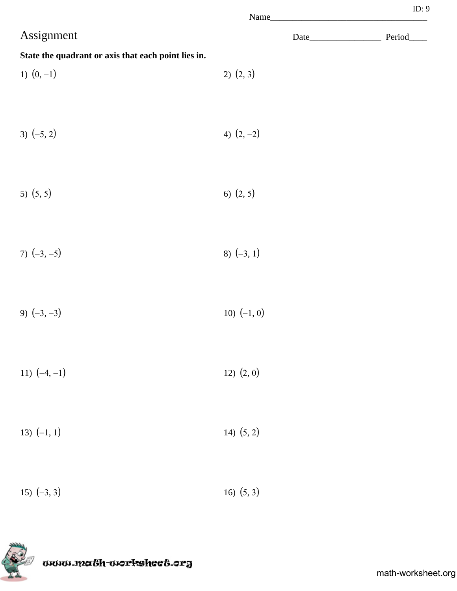|                                                     |               | ID: 9      |
|-----------------------------------------------------|---------------|------------|
| Assignment                                          |               | Period____ |
| State the quadrant or axis that each point lies in. |               |            |
| 1) $(0, -1)$                                        | 2) (2, 3)     |            |
|                                                     |               |            |
| 3) $(-5, 2)$                                        | 4) $(2, -2)$  |            |
|                                                     |               |            |
| 5) $(5, 5)$                                         | 6) $(2, 5)$   |            |
|                                                     |               |            |
| 7) $(-3, -5)$                                       | 8) $(-3, 1)$  |            |
|                                                     |               |            |
| 9) $(-3, -3)$                                       | 10) $(-1, 0)$ |            |
|                                                     |               |            |
| 11) $(-4, -1)$                                      | 12) (2, 0)    |            |
|                                                     |               |            |
| 13) $(-1, 1)$                                       | 14) $(5, 2)$  |            |
|                                                     |               |            |
| 15) $(-3, 3)$                                       | 16) $(5, 3)$  |            |
|                                                     |               |            |

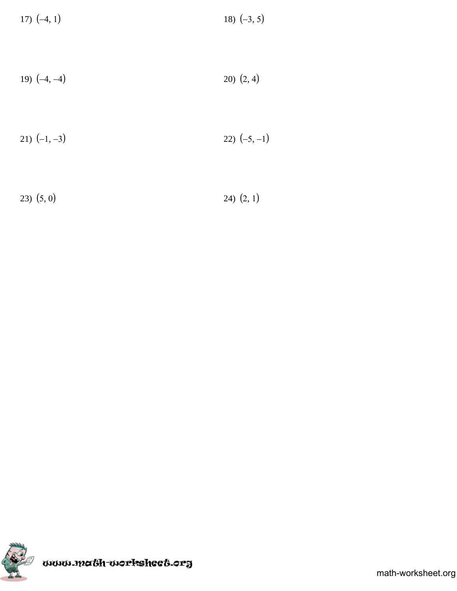| 17) $(-4, 1)$ | 18) $(-3, 5)$ |
|---------------|---------------|
|---------------|---------------|

$$
(4, -4) \t\t\t\t\t\t20) (2, 4)
$$

$$
21) (-1, -3) \t\t\t\t\t22) (-5, -1)
$$

23)  $(5, 0)$  24)  $(2, 1)$ 

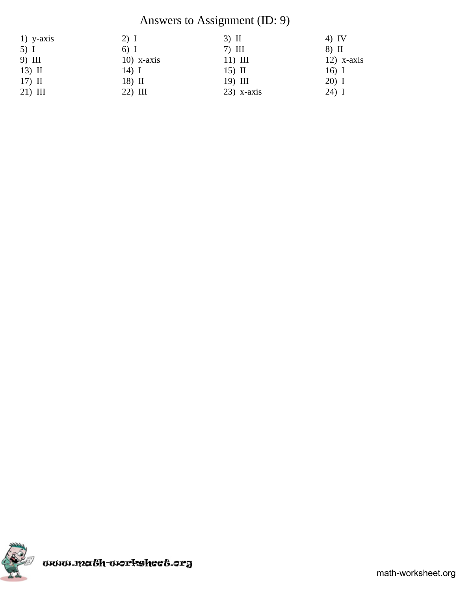# Answers to Assignment (ID: 9)

| $1)$ y-axis | 2) I          | $3)$ II      | $4)$ IV      |
|-------------|---------------|--------------|--------------|
| $5)$ I      | 6) I          | $7)$ III     | 8) II        |
| 9) III      | $10$ ) x-axis | $11)$ III    | $12)$ x-axis |
| $13)$ II    | $14)$ I       | $15)$ II     | $16)$ I      |
| $17)$ II    | $18)$ II      | 19) III      | $20)$ I      |
| $21)$ III   | $22)$ III     | $23)$ x-axis | $24)$ I      |

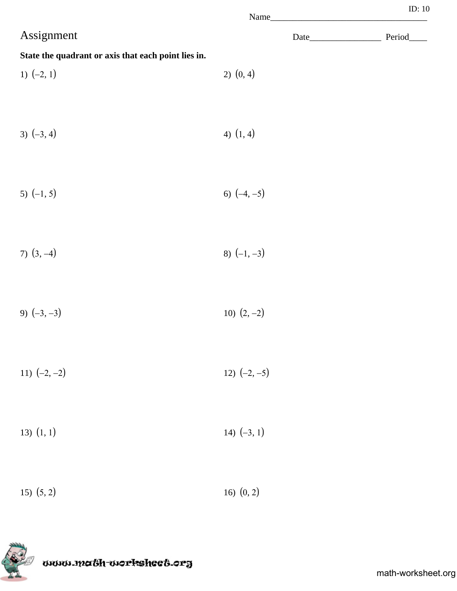|                                                     |                | Name | ID: $10$   |
|-----------------------------------------------------|----------------|------|------------|
| Assignment                                          |                |      | Period____ |
| State the quadrant or axis that each point lies in. |                |      |            |
| 1) $(-2, 1)$                                        | $2)$ $(0, 4)$  |      |            |
| 3) $(-3, 4)$                                        | 4) $(1, 4)$    |      |            |
| 5) $(-1, 5)$                                        | 6) $(-4, -5)$  |      |            |
| 7) $(3, -4)$                                        | 8) $(-1, -3)$  |      |            |
| 9) $(-3, -3)$                                       | 10) $(2, -2)$  |      |            |
| 11) $(-2, -2)$                                      | 12) $(-2, -5)$ |      |            |
| $13)$ $(1, 1)$                                      | 14) $(-3, 1)$  |      |            |
| $15)$ $(5, 2)$                                      | 16) $(0, 2)$   |      |            |

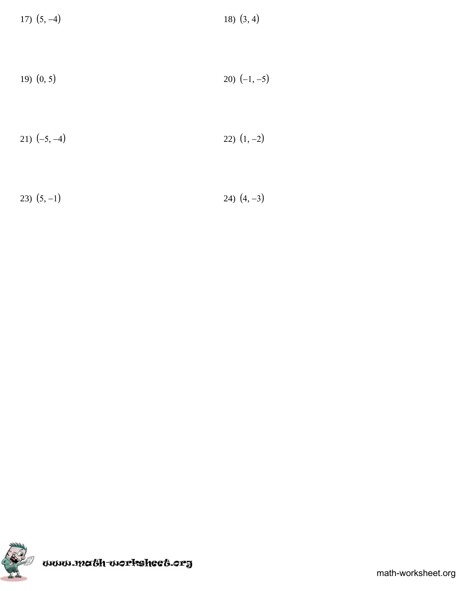| 17) $(5, -4)$ | 18) $(3, 4)$ |
|---------------|--------------|
|---------------|--------------|

$$
19) (0, 5) \t\t\t\t\t20) (-1, -5)
$$

$$
21) (-5, -4) \qquad \qquad 22) (1, -2)
$$

23)  $(5, -1)$  24)  $(4, -3)$